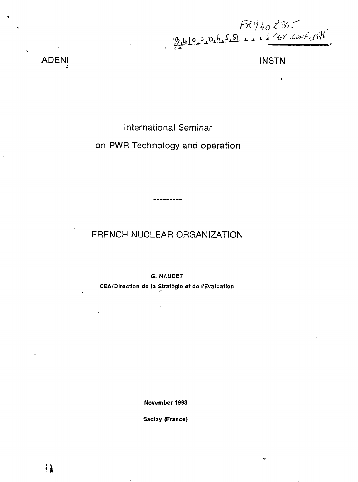

ADENI INSTN

International Seminar

on PWR Technology and operation

FRENCH NUCLEAR ORGANIZATION

------

**G. NAUDET**

**CEA/Direction de la Stratégie et de l'Evaluation**

ł

**November 1993**

**Saclay (France)**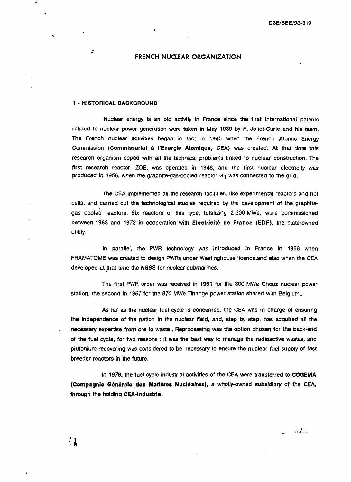#### **FRENCH NUCLEAR ORGANIZATION**

#### 1 - **HISTORICAL BACKGROUND**

2

 $\mathbf{1}$ 

Nuclear energy is an old activity in France since the first international patents related to nuclear power generation were taken in May 1939 by F. Joliot-Curie and his team. The French nuclear activities began in fact in 1945 when the French Atomic Energy Commission (Commissariat à l'Energie Atomique, CEA) was created. At that time this research organism coped with all the technical problems linked to nuclear construction. The first research reactor, ZOE, was operated in 1948, and the first nuclear electricity was produced in 1956, when the graphite-gas-cooled reactor  $G_1$  was connected to the grid.

The CEA implemented all the research facilities, like experimental reactors and hot cells, and carried out the technological studies required by the development of the graphitegas cooled reactors. Six reactors of this type, totalizing 2 300 MWe, were commissioned between 1963 and 1972 in cooperation with Electricité de France (EDF), the state-owned utility.

In parallel, the PWR technology was introduced in France in 1958 when FRAMATOME was created to design PWRs under Westinghouse licence.and also when the CEA developed at that time the NSSS for nuclear submarines.

The first PWR order was received in 1961 for the 300 MWe Chooz nuclear power station, the second in 1967 for the 870 MWe Tihange power station shared with Belgium..

As far as the nuclear fuel cycle is concerned, the CEA was in charge of ensuring the independence of the nation in the nuclear field, and, step by step, has acquired all the necessary expertise from ore to waste . Reprocessing was the option chosen for the back-end of the fuel cycle, for two reasons : it was the best way to manage the radioactive wastes, and plutonium recovering was considered to be necessary to ensure the nuclear fuel supply of fast breeder reactors in the future.

In 1976, the fuel cycle industrial activities of the CEA were transferred to **COGEMA (Compagnie Général» des Matières Nucléaires),** a wholly-owned subsidiary of the CEA, through the holding **CEA-industrie.**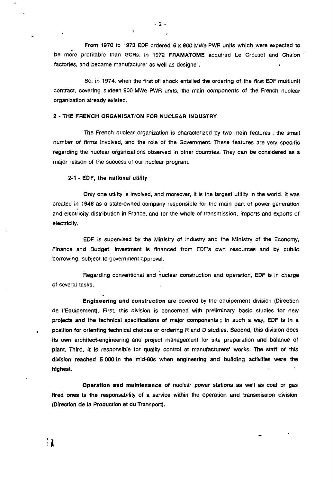From 1970 to 1973 EDF ordered 6 x 900 MWe PWR units which were expected to be more profitable than GCRs. In 1972 FRAMATOME acquired Le Creusot and Chalon " factories, and became manufacturer as well as designer.

So, in 1974, when the first oil shock entailed the ordering of the first EDF multiunit contract, covering sixteen 900 MWe PWR units, the main components of the French nuclear organization already existed.

#### 2 - THE FRENCH ORGANISATION FOR NUCLEAR INDUSTRY

The French nuclear organization is characterized by two main features : the small number of firms involved, and the role of the Government. These features are very specific regarding the nuclear organizations observed in other countries. They can be considered as a major reason of the success of our nuclear program.

#### 2-1 - **EOF,** the national utility

Only one utility is involved, and moreover, it is the largest utility in the world. It was created in 1946 as a state-owned company responsible for the main part of power generation and electricity distribution in France, and for the whole of transmission, imports and exports of electricity.

EDF is supervised by the Ministry of Industry and the Ministry of the Economy, Finance and Budget. Investment is financed from EDF's own resources and by public borrowing, subject to government approval.

Regarding conventional and nuclear construction and operation, EDF is in charge of several tasks. .

Engineering and construction are covered by the équipement division (Direction de l'Equipement). First, this division is concerned with preliminary basic studies for new projects and the technical specifications of major components ; in such a way, EDF is in a position for orienting technical choices or ordering R and D studies. Second, this division does its own architect-engineering and project management for site preparation and balance of plant. Third, it is responsible for quality control at manufacturers' works. The staff of this division reached 5 000 in the mid-80s when engineering and building activities were the highest.

**Operation and** maintenance of nuclear power stations as well as coal or gas fired ones is the responsability of a service within the operation and transmission division (Direction de la Production et du Transport).

11

 $\dot{\mathbf{r}}$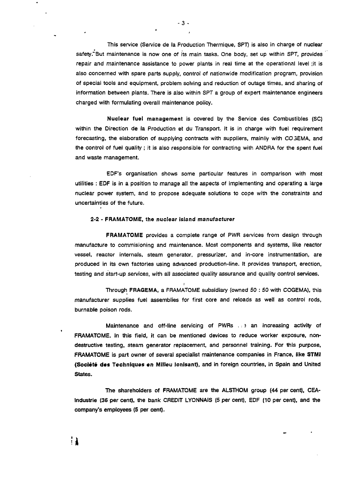This service (Service de Ia Production Thermique, SPT) is also in charge of nuclear safety. But maintenance is now one of its main tasks. One body, set up within SPT, provides repair and maintenance assistance to power plants in real time at the operational level ;it is also concerned with spare parts supply, control of nationwide modification program, provision of special tools and equipment, problem solving and reduction of outage times, and sharing of information between plants. There is also within SPT a group of expert maintenance engineers charged with formulating overall maintenance policy.

Nuclear fuel management is covered by the Service des Combustibles (SC) within the Direction de la Production et du Transport. It is in charge with fuel requirement forecasting, the elaboration of supplying contracts with suppliers, mainliy with CO 3EMA, and the control of fuel quality ; it is also responsible for contracting with ANDRA for the spent fuel and waste management.

EDF's organisation shows some particular features in comparison with most utilities : EOF is in a position to manage all the aspects of implementing and operating a large nuclear power system, and to propose adequate solutions to cope with the constraints and uncertainties of the future.

#### 2-2 - FRAMATOME, the nuclear island manufacturer

FRAMATOME provides a complete range of PWR services from design through manufacture to commisioning and maintenance. Most components and systems, like reactor vessel, reactor internals, steam generator, pressurizer, and in-core instrumentation, are produced in its own factories using advanced production-line. It provides transport, erection, testing and start-up services, with all associated quality assurance and quality control services.

Through FRAGEMA, a FRAMATOME subsidiary (owned 50 : 50 with COGEMA), this manufacturer supplies fuel assemblies for first core and reloads as well as control rods, burnable poison rods.

Maintenance and off-line servicing of PWRs ... an increasing activity of FRAMATOME. In this field, it can be mentioned devices to reduce worker exposure, nondestructive testing, steam generator replacement, and personnel training. For this purpose, FRAMATOME is part owner of several specialist maintenance companies in France, like **STMI (Société des** Techniques **en** Milieu Ionisant), and in foreign countries, in Spain and United States.

The shareholders of FRAMATOME are the ALSTHOM group (44 per cent), CEAlndustrie (36 per cent), the bank CREDIT LYONNAIS (5 per cent), EDF (10 per cent), and the company's employees (5 per cent).

 $-3 -$ 

∺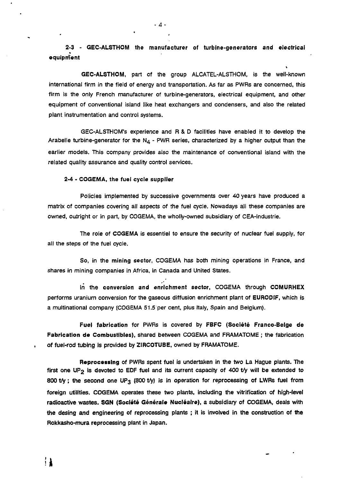**2-3 - GEC-ALSTHOM the manufacturer of turbine-generators and electrical equipment**

**GEC-ALSTHOM,** part of the group ALCATEL-ALSTHOM, is the well-known international firm in the field of energy and transportation. As far as PWRs are concerned, this firm is the only French manufacturer of turbine-generators, electrical equipment, and other equipment of conventional island like heat exchangers and condensers, and also the related plant instrumentation and control systems.

GEC-ALSTHOM's experience and R & D facilities have enabled it to develop the Arabelle turbine-generator for the  $N_4$  - PWR series, characterized by a higher output than the earlier models. This company provides also the maintenance of conventional island with the related quality assurance and quality control services.

#### **2-4** - **COGEMA, the fuel cycle supplier**

11

Policies implemented by successive governments over 40 years have produced a matrix of companies covering all aspects of the fuel cycle. Nowadays all these companies are owned, outright or in part, by COGEMA, the wholly-owned subsidiary of CEA-industrie.

The role of **COGEMA** is essentiel to ensure the security of nuclear fuel supply, for all the steps of the fuel cycle.

So, in **the mining sector,** COGEMA has both mining operations in France, and shares in mining companies in Africa, in Canada and United States.

lri the **conversion and enrichment sector,** COGEMA through **COMURHEX** performs uranium conversion for the gaseous diffusion enrichment plant of **EURODtF,** which is a multinational company (COGEMA 51.5 per cent, plus Italy, Spain and Belgium).

**Fuel fabrication** for PWRs is covered by **FBFC (Société Franco-Beige de Fabrication de Combustibles),** shared between COGEMA and FRAMATOME ; the fabrication **of fuel-rod tubing is provided by ZtRCOTUBE, owned by FRAMATOME.**

**Reprocsssing of** PWRs **spent fuel is undertaken in the two La Hague plants. The first one UP2 is devoted to EDF fuel and its current capacity of 400 t/y will be extended to 800 t/y ; the second one UP3 (800 t/y) is in operation for reprocessing of LWRs fuel from foreign utilities. COGEMA operates these two plants, including the vitrification of high-level radioactive wastes. SGN (Société Générale Nucléaire),** a subsidiary **of COGEMA, deals with the desing and engineering of reprocessing plants ; it is involved in the construction of the Rokkasho-mura reprocessing plant in Japan.**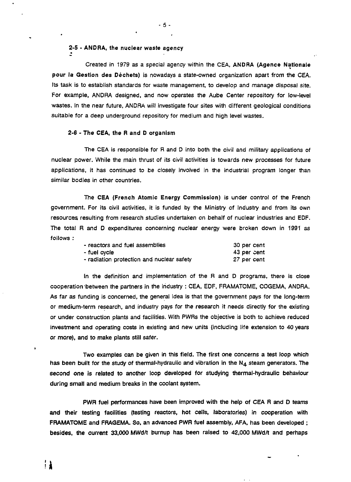#### **2-5 - ANDRA, the nuclear waste agency**

Created in 1979 as a special agency within the CEA, **ANDRA (Agence Nationale pour la Gestion des Déchets)** is nowadays a state-owned organization apart from the CEA. Its task is to establish standards for waste management, to develop and manage disposal site. For example, ANDRA designed, and now operates the Aube Center repository for low-level wastes. In the near future, ANDRA will investigate four sites with different geological conditions suitable for a deep underground repository for medium and high level wastes.

**- 5 -**

#### **2-6** - **The CEA, the R and D organism**

The CEA is responsible for R and D into both the civil and military applications of nuclear power. While the main thrust of its civil activities is towards new processes for future applications, it has continued to be closely involved in the industrial program longer than similar bodies in other countries.

The **CEA (French Atomic Energy Commission)** is under control of the French government. For its civil activities, it is funded by the Ministry of Industry and from its own resources resulting from research studies undertaken on behalf of nuclear industries and EDF. The total R and D expenditures concerning nuclear energy were broken down in 1991 as follows :

| - reactors and fuel assemblies            | 30 per cent |
|-------------------------------------------|-------------|
| - fuel cvcle                              | 43 per cent |
| - radiation protection and nuclear safety | 27 per cent |

In the definition and implementation of the R and D programs, there is close cooperation between the partners in the industry : CEA, EDF, FRAMATOME, COGEMA, ANDRA. As far as funding is concerned, the general idea is that the government pays for the long-term or medium-term research, and industry pays for the research it needs directly for the existing or under construction plants and facilities. With PWRs the objective is both to achieve reduced investment and operating costs in existing and new units (including life extension to 40 years **or more), and to make** plants still safer.

**Two** examples can be given in this **field.** The **first one** concerns **a test loop which** has been built for the study of thermal-hydraulic and vibration in the N<sub>4</sub> steam generators. The **second one is related to another loop developed for studying thermal-hydraulic behaviour during small and medium breaks in the coolant system.**

**PWR fuel performances have been improved with the help of CEA R and D teams and their testing facilities (testing reactors, hot cells, laboratories) in cooperation with FRAMATOME and FRAGEMA. So, an advanced PWR fuel assembly, AFA, has been developed ; besides, the current 33,000 MWd/t burnup has been raised to 42,000 MWd/t and perhaps**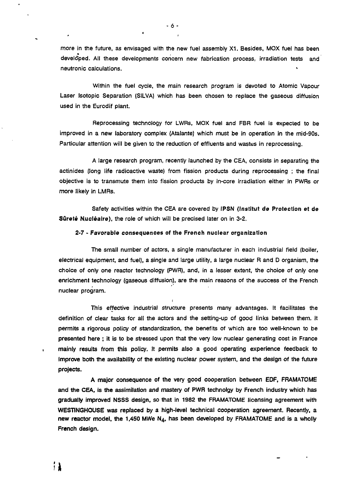more in the future, as envisaged with the new fuel assembly X1. Besides, MOX fuel has been developed. All these developments concern new fabrication process, irradiation tests and neutronic calculations. »

Within the fuel cycle, the main research program is devoted to Atomic Vapour Laser lsotopic Separation (SILVA) which has been chosen to replace the gaseous diffusion used in the Eurodif plant.

Reprocessing technology for LWRs, MOX fuel and FBR fuel is expected to be improved in a new laboratory complex (Atalante) which must be in operation in the mid-90s. Particular attention will be given to the reduction of effluents and wastes in reprocessing.

A large research program, recently launched by the CEA, consists in separating the actinides (long life radioactive waste) from fission products during reprocessing ; the final objective is to transmute them into fission products by in-core irradiation either in PWRs or more likely in LMRs.

Safety activities within the CEA are covered by **IPSN (Institut de Protection et de Sûreté Nucléaire),** the role of which will be precised later on in 3-2.

#### **2-7** - **Favorable consequences of the French nuclear organization**

The small number of actors, a single manufacturer in each industrial field (boiler, electrical equipment, and fuel), a single and large utility, a large nuclear R and D organism, the choice of only one reactor technology (PWR), and, in a lesser extent, the choice of only one enrichment technology (gaseous diffusion), are the main reasons of the success of the French nuclear program.

This effective industrial structure presents many advantages. It facilitates the definition of clear tasks for all the actors and the setting-up of good links between them. It permits a rigorous policy of standardization, the benefits of which are too well-known to be **presented here** ; **it** is **to be** stressed upon that the very low nuclear generating cost in France **mainly** results **from** this policy. It permits also a good operating experience feedback **to improve both the** availability of the existing nuclear power system, and the design of the future **projects.**

**A major consequence of the very good cooperation between EDF, FRAMATOME and the CEA,** is **the** assimilation **and** mastery of **PWR** technoigy by French industry which has **gradually improved NSSS design,** so **that** in **1982** the FRAMATOME licensing agreement with **WESTiNGHOUSE was replaced by a high-level technical cooperation agreement. Recently, a new reactor model, the 1,450 MWe N4, has been** developed by **FRAMATOME** and is **a** wholly **French design.**

11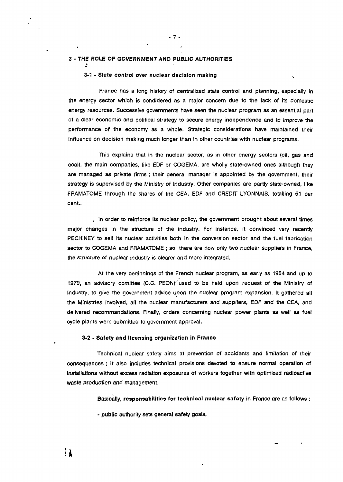#### **3 - THE ROLE OF GOVERNMENT AND PUBLJC AUTHORITIES**

**# ;**

 $\cdot$ 

**- 7 -**

#### **3-1 - State control over nuclear decision making** %

France has a long history of centralized state control and planning, especially in the energy sector which is condidered as a major concern due to the lack of its domestic energy resources. Successive governments have seen the nuclear program as an essential part of a clear economic and political strategy to secure energy independence and to improve the performance of the economy as a whole. Strategic considerations have maintained their influence on decision making much longer than in other countries with nuclear programs.

This explains that in the nuclear sector, as in other energy sectors (oil, gas and coal), the main companies, like EDF or COGEMA, are wholly state-owned ones although they are managed as private firms ; their general manager is appointed by the government, their strategy is supervised by the Ministry of Industry. Other companies are partly state-owned, like FRAMATOME through the shares of the CEA, EDF and CREDIT LYONNAIS, totalling 51 per cent..

. In order to reinforce its nuclear policy, the government brought about several times major changes in the structure of the industry. For instance, it convinced very recently PECHINEY to sell its nuclear activities both in the conversion sector and the fuel fabrication sector to COGEMA and FRAMATOME ; so, there are now only two nuclear suppliers in France, the structure of nuclear industry is clearer and more integrated.

At the very beginnings of the French nuclear program, as early as 1954 and up to 1979, an advisory comittee (CC. PEON)'' used to be held upon request of the Ministry of Industry, to give the government advice upon the nuclear program expansion. It gathered all the Ministries involved, all the nuclear manufacturers and suppliers, EDF and the CEA, and delivered recommandations. Finally, orders concerning nuclear power plants as well as fuel cycle plants were submitted to government approval.

#### **3-2** - **Safety and licensing organization in France**

Technical nuclear safety aims at prevention of accidents **and** limitation of their **consequences ; it also includes technical provisions devoted to ensure normal operation of installations without** excess radiation exposures **of** workers **together with optimized radioactive waste production and management.**

**Basically, responsabilities for technical nuclear safety in France are as follows :** 

**- public authority sets general safety goals,**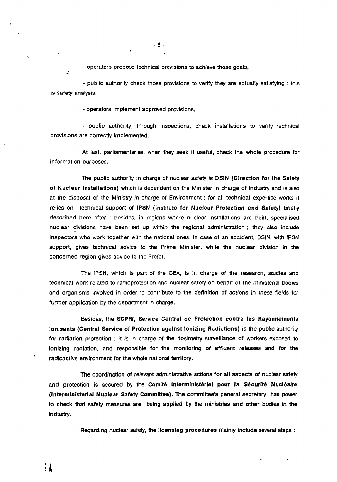- operators propose technical provisions to achieve those goals,

- public authority check those provisions to verify they are actually satisfying : this is safety analysis,

- operators implement approved provisions,

•

- public authority, through inspections, check installations to verify technical provisions are correctly implemented.

At last, parliamentaries, when they seek it useful, check the whole procedure for information purposes.

The public authority in charge of nuclear safety is DSIN (Direction for the Safety of Nuclear Installations) which is dependent on the Minister in charge of Industry and is also at the disposal of the Ministry in charge of Environment ; for all technical expertise works it relies on technical support of IPSN (Institute for Nuclear Protection and Safety) briefly described here after ; besides, in regions where nuclear installations are built, specialised nuclear divisions have been set up within the regional administration ; they also include inspectors who work together with the national ones. In case of an accident, DSIN, with IPSN support, gives technical advice to the Prime Minister, while the nuclear division in the concerned region gives advice to the Prefet.

The IPSN, which is part of the CEA, is in charge of the research, studies and technical work related to radioprotection and nuclear safety on behalf of the ministerial bodies and organisms involved in order to contribute to the definition of actions in these fields for further application by the department in charge.

Besides, the SCPRI, Service Central de Protection contre **les** Rayonnements Ionisants (Central Service of Protection against Ionizing Radiations) is the public authority for radiation protection : it is in charge of the dosimetry surveillance of workers exposed to ionizing radiation, and responsible for the monitoring of effluent releases and for the radioactive environment for the whole national territory.

The coordination of relevant administrative actions for all aspects of nuclear safety and protection is secured by the **Comité Interministériel pour la Sécurité Nucléaire {Interministerial Nuclear Safety Committee).** The committee's general secretary has power **to** check that safety measures are being applied by the ministries and other bodies in the industry.

Regarding nuclear safety, the liconsing procedures mainly include several steps :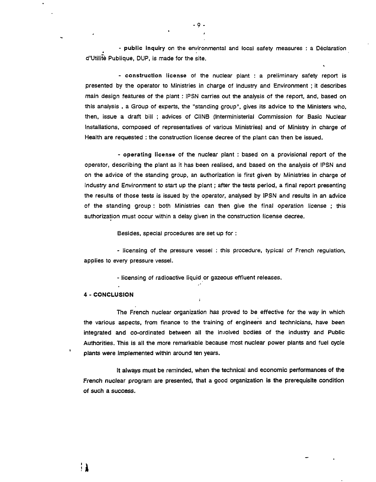- public inquiry on the environmental and local safety measures : a Déclaration d'Utilité Publique, DUP, is made for the site.

- construction license of the nuclear plant : a preliminary safety report is presented by the operator to Ministries in charge of Industry and Environment ; it describes main design features of the plant : IPSN carries out the analysis of the report, and, based on this analysis , a Group of experts, the "standing group", gives its advice to the Ministers who, then, issue a draft bill ; advices of CIINB (lnterministerial Commission for Basic Nuclear Installations, composed of representatives of various Ministries) and of Ministry in charge of Health are requested : the construction license decree of the plant can then be issued.

- operating license of the nuclear plant : based on a provisional report of the operator, describing the plant as it has been realised, and based on the analysis of IPSN and on the advice of the standing group, an authorization is first given by Ministries in charge of Industry and Environment to start up the plant ; after the tests period, a final report presenting the results of those tests is issued by the operator, analysed by IPSN and results in an advice of the standing group : both Ministries can then give the final operation license ; this authorization must occur within a delay given in the construction license decree.

Besides, special procedures are set up for :

- licensing of the pressure vessel : this procedure, typical of French regulation, applies to every pressure vessel.

- licensing of radioactive liquid or gazeous effluent releases.

 $\cdot$ 

#### 4 - CONCLUSION

: 1

The French nuclear organization has proved to be effective for the way in which the various aspects, from finance to the training of engineers and technicians, have been integrated and co-ordinated between all the involved bodies of the industry and Public Authorities. This is all the more remarkable because most nuclear power plants and fuel cycle plants were implemented within around ten years.

It always must be reminded, when the technical and economic performances of the French nuclear program are presented, that a good organization is the prerequisite condition of such a success.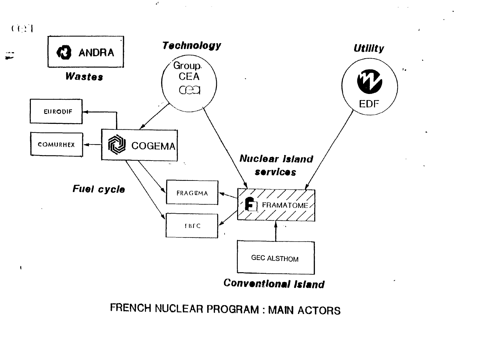

 $\mathcal{A}^k$ 

 $\bar{\mathcal{A}}$ 

**FRENCH NUCLEAR PROQRAM : MAIN ACTORS**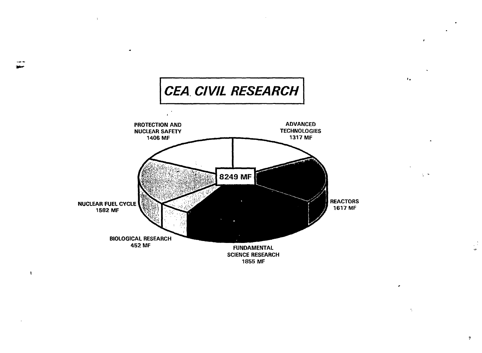

 $\Delta$ 

 $\mathbf{I}$ 

 $\mathfrak{F}$ 

 $\mathbf{r}$ 

 $\frac{1}{2}$  .  $\frac{1}{2}$ 

 $\tilde{\mathcal{L}}_{\mathcal{L}}$ 

 $\mathbf{r}_\bullet$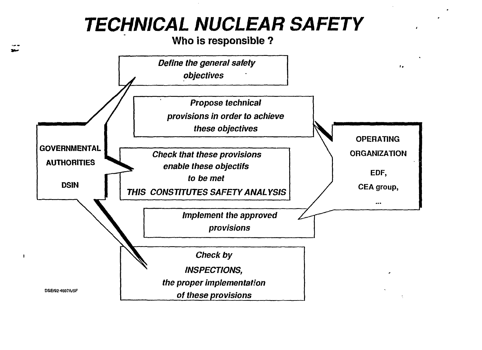# **TECHNICAL NUCLEAR SAFETY**

**Who is responsible ?**

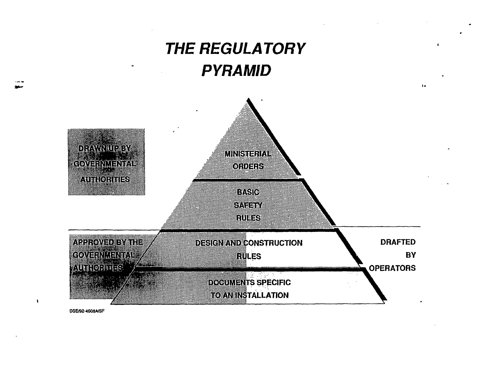

**DSE/92-4608À/SF**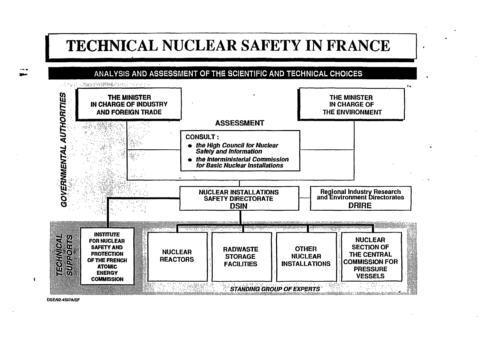## **TECHNICAL NUCLEAR SAFETY IN FRANCE**

 $\overline{1}$ 

**f**

#### ANALYSIS AND ASSESSMENT OF THE SCIENTIFIC AND TECHNICAL CHOICES



**DSE/92-4597A/SF**

 $\blacksquare$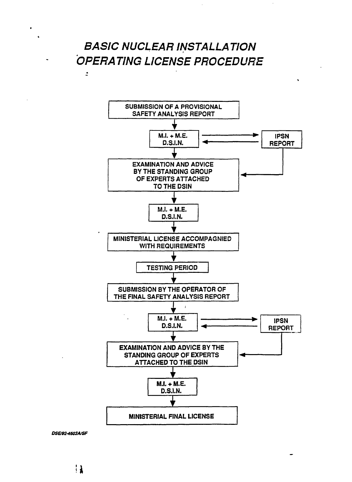## **BASIC NUCLEAR INSTALLATION OPERATING LICENSE PROCEDURE**

 $\overline{z}$ 



*DSB92-4603A/SF*